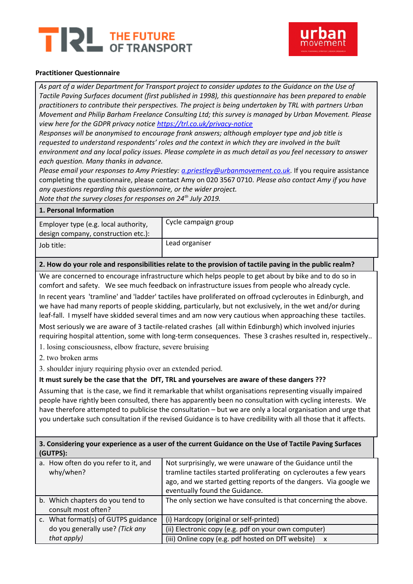# THE FUTURE<br>OF TRANSPORT TR!



## **Practitioner Questionnaire**

*As part of a wider Department for Transport project to consider updates to the Guidance on the Use of Tactile Paving Surfaces document (first published in 1998), this questionnaire has been prepared to enable practitioners to contribute their perspectives. The project is being undertaken by TRL with partners Urban Movement and Philip Barham Freelance Consulting Ltd; this survey is managed by Urban Movement. Please view here for the GDPR privacy notice<https://trl.co.uk/privacy-notice>*

*Responses will be anonymised to encourage frank answers; although employer type and job title is requested to understand respondents' roles and the context in which they are involved in the built environment and any local policy issues. Please complete in as much detail as you feel necessary to answer each question. Many thanks in advance.*

*Please email your responses to Amy Priestley: [a.priestley@urbanmovement.co.uk.](mailto:a.priestley@urbanmovement.co.uk)* If you require assistance completing the questionnaire, please contact Amy on 020 3567 0710. *Please also contact Amy if you have any questions regarding this questionnaire, or the wider project.*

*Note that the survey closes for responses on 24th July 2019.*

#### **1. Personal Information**

| Employer type (e.g. local authority,<br>design company, construction etc.): | Cycle campaign group |
|-----------------------------------------------------------------------------|----------------------|
| Job title:                                                                  | Lead organiser       |

#### **2. How do your role and responsibilities relate to the provision of tactile paving in the public realm?**

We are concerned to encourage infrastructure which helps people to get about by bike and to do so in comfort and safety. We see much feedback on infrastructure issues from people who already cycle.

In recent years 'tramline' and 'ladder' tactiles have proliferated on offroad cycleroutes in Edinburgh, and we have had many reports of people skidding, particularly, but not exclusively, in the wet and/or during leaf-fall. I myself have skidded several times and am now very cautious when approaching these tactiles.

Most seriously we are aware of 3 tactile-related crashes (all within Edinburgh) which involved injuries requiring hospital attention, some with long-term consequences. These 3 crashes resulted in, respectively..

1. losing consciousness, elbow fracture, severe bruising

2. two broken arms

3. shoulder injury requiring physio over an extended period.

## **It must surely be the case that the DfT, TRL and yourselves are aware of these dangers ???**

Assuming that is the case, we find it remarkable that whilst organisations representing visually impaired people have rightly been consulted, there has apparently been no consultation with cycling interests. We have therefore attempted to publicise the consultation – but we are only a local organisation and urge that you undertake such consultation if the revised Guidance is to have credibility with all those that it affects.

| 3. Considering your experience as a user of the current Guidance on the Use of Tactile Paving Surfaces |
|--------------------------------------------------------------------------------------------------------|
| (GUTPS):                                                                                               |

| a. How often do you refer to it, and<br>why/when?       | Not surprisingly, we were unaware of the Guidance until the<br>tramline tactiles started proliferating on cycleroutes a few years<br>ago, and we started getting reports of the dangers. Via google we<br>eventually found the Guidance. |
|---------------------------------------------------------|------------------------------------------------------------------------------------------------------------------------------------------------------------------------------------------------------------------------------------------|
| b. Which chapters do you tend to<br>consult most often? | The only section we have consulted is that concerning the above.                                                                                                                                                                         |
| c. What format(s) of GUTPS guidance                     | (i) Hardcopy (original or self-printed)                                                                                                                                                                                                  |
| do you generally use? (Tick any                         | (ii) Electronic copy (e.g. pdf on your own computer)                                                                                                                                                                                     |
| that apply)                                             | (iii) Online copy (e.g. pdf hosted on DfT website) x                                                                                                                                                                                     |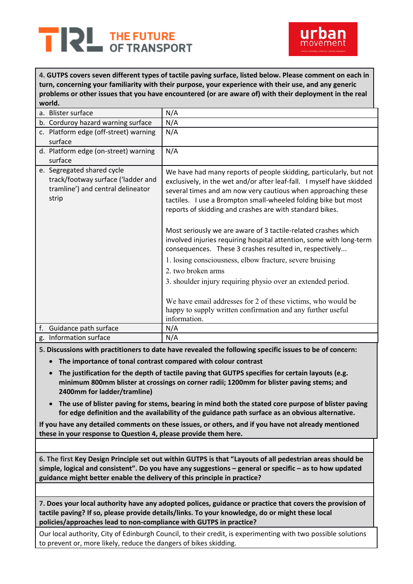



**4. GUTPS covers seven different types of tactile paving surface, listed below. Please comment on each in turn, concerning your familiarity with their purpose, your experience with their use, and any generic problems or other issues that you have encountered (or are aware of) with their deployment in the real world.**

|    | a. Blister surface                                                                                             | N/A                                                                                                                                                                                                                                                                                                                                        |
|----|----------------------------------------------------------------------------------------------------------------|--------------------------------------------------------------------------------------------------------------------------------------------------------------------------------------------------------------------------------------------------------------------------------------------------------------------------------------------|
|    | b. Corduroy hazard warning surface                                                                             | N/A                                                                                                                                                                                                                                                                                                                                        |
|    | c. Platform edge (off-street) warning                                                                          | N/A                                                                                                                                                                                                                                                                                                                                        |
|    | surface                                                                                                        |                                                                                                                                                                                                                                                                                                                                            |
|    | d. Platform edge (on-street) warning                                                                           | N/A                                                                                                                                                                                                                                                                                                                                        |
|    | surface                                                                                                        |                                                                                                                                                                                                                                                                                                                                            |
|    | e. Segregated shared cycle<br>track/footway surface ('ladder and<br>tramline') and central delineator<br>strip | We have had many reports of people skidding, particularly, but not<br>exclusively, in the wet and/or after leaf-fall. I myself have skidded<br>several times and am now very cautious when approaching these<br>tactiles. I use a Brompton small-wheeled folding bike but most<br>reports of skidding and crashes are with standard bikes. |
|    |                                                                                                                | Most seriously we are aware of 3 tactile-related crashes which<br>involved injuries requiring hospital attention, some with long-term<br>consequences. These 3 crashes resulted in, respectively<br>1. losing consciousness, elbow fracture, severe bruising                                                                               |
|    |                                                                                                                | 2. two broken arms                                                                                                                                                                                                                                                                                                                         |
|    |                                                                                                                |                                                                                                                                                                                                                                                                                                                                            |
|    |                                                                                                                | 3. shoulder injury requiring physio over an extended period.                                                                                                                                                                                                                                                                               |
|    |                                                                                                                | We have email addresses for 2 of these victims, who would be<br>happy to supply written confirmation and any further useful<br>information.                                                                                                                                                                                                |
| f. | Guidance path surface                                                                                          | N/A                                                                                                                                                                                                                                                                                                                                        |
|    | g. Information surface                                                                                         | N/A                                                                                                                                                                                                                                                                                                                                        |

**5. Discussions with practitioners to date have revealed the following specific issues to be of concern:** 

- **The importance of tonal contrast compared with colour contrast**
- **The justification for the depth of tactile paving that GUTPS specifies for certain layouts (e.g. minimum 800mm blister at crossings on corner radii; 1200mm for blister paving stems; and 2400mm for ladder/tramline)**
- **The use of blister paving for stems, bearing in mind both the stated core purpose of blister paving for edge definition and the availability of the guidance path surface as an obvious alternative.**

**If you have any detailed comments on these issues, or others, and if you have not already mentioned these in your response to Question 4, please provide them here.**

**6. The first Key Design Principle set out within GUTPS is that "Layouts of all pedestrian areas should be simple, logical and consistent". Do you have any suggestions – general or specific – as to how updated guidance might better enable the delivery of this principle in practice?**

**7. Does your local authority have any adopted polices, guidance or practice that covers the provision of tactile paving? If so, please provide details/links. To your knowledge, do or might these local policies/approaches lead to non-compliance with GUTPS in practice?**

Our local authority, City of Edinburgh Council, to their credit, is experimenting with two possible solutions to prevent or, more likely, reduce the dangers of bikes skidding.